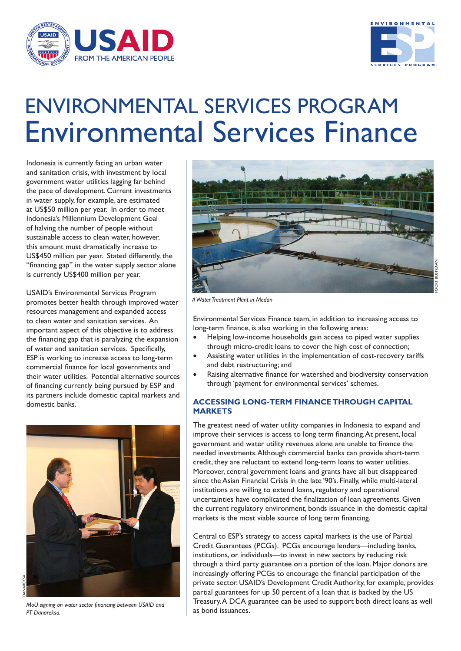



# ENVIRONMENTAL SERVICES PROGRAM Environmental Services Finance

Indonesia is currently facing an urban water and sanitation crisis, with investment by local government water utilities lagging far behind the pace of development. Current investments in water supply, for example, are estimated at US\$50 million per year. In order to meet Indonesia's Millennium Development Goal of halving the number of people without sustainable access to clean water, however, this amount must dramatically increase to US\$450 million per year. Stated differently, the "financing gap" in the water supply sector alone is currently US\$400 million per year.

USAID's Environmental Services Program promotes better health through improved water resources management and expanded access to clean water and sanitation services. An important aspect of this objective is to address the financing gap that is paralyzing the expansion of water and sanitation services. Specifically, ESP is working to increase access to long-term commercial finance for local governments and their water utilities. Potential alternative sources of financing currently being pursued by ESP and its partners include domestic capital markets and domestic banks.



*MoU signing on water sector financing between USAID and PT Danareksa.*



*A Water Treatment Plant in Medan*

Environmental Services Finance team, in addition to increasing access to long-term finance, is also working in the following areas:

- Helping low-income households gain access to piped water supplies through micro-credit loans to cover the high cost of connection;
- Assisting water utilities in the implementation of cost-recovery tariffs and debt restructuring; and
- Raising alternative finance for watershed and biodiversity conservation through 'payment for environmental services' schemes.

# **ACCESSING LONG-TERM FINANCE THROUGH CAPITAL MARKETS**

The greatest need of water utility companies in Indonesia to expand and improve their services is access to long term financing. At present, local government and water utility revenues alone are unable to finance the needed investments. Although commercial banks can provide short-term credit, they are reluctant to extend long-term loans to water utilities. Moreover, central government loans and grants have all but disappeared since the Asian Financial Crisis in the late '90's. Finally, while multi-lateral institutions are willing to extend loans, regulatory and operational uncertainties have complicated the finalization of loan agreements. Given the current regulatory environment, bonds issuance in the domestic capital markets is the most viable source of long term financing.

Central to ESP's strategy to access capital markets is the use of Partial Credit Guarantees (PCGs). PCGs encourage lenders—including banks, institutions, or individuals—to invest in new sectors by reducing risk through a third party guarantee on a portion of the loan. Major donors are increasingly offering PCGs to encourage the financial participation of the private sector. USAID's Development Credit Authority, for example, provides partial guarantees for up 50 percent of a loan that is backed by the US Treasury. A DCA guarantee can be used to support both direct loans as well as bond issuances.